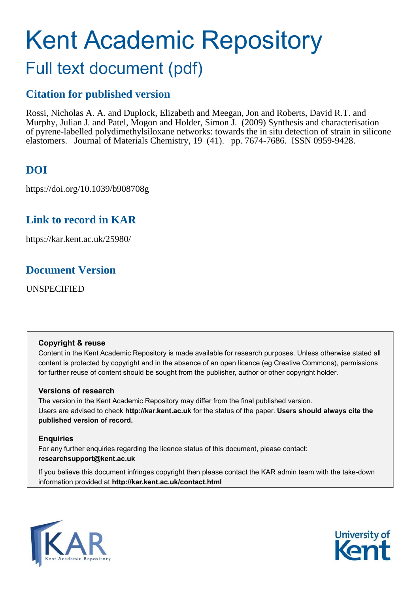# Kent Academic Repository

## Full text document (pdf)

## **Citation for published version**

Rossi, Nicholas A. A. and Duplock, Elizabeth and Meegan, Jon and Roberts, David R.T. and Murphy, Julian J. and Patel, Mogon and Holder, Simon J. (2009) Synthesis and characterisation of pyrene-labelled polydimethylsiloxane networks: towards the in situ detection of strain in silicone elastomers. Journal of Materials Chemistry, 19 (41). pp. 7674-7686. ISSN 0959-9428.

## **DOI**

https://doi.org/10.1039/b908708g

## **Link to record in KAR**

https://kar.kent.ac.uk/25980/

## **Document Version**

UNSPECIFIED

#### **Copyright & reuse**

Content in the Kent Academic Repository is made available for research purposes. Unless otherwise stated all content is protected by copyright and in the absence of an open licence (eg Creative Commons), permissions for further reuse of content should be sought from the publisher, author or other copyright holder.

#### **Versions of research**

The version in the Kent Academic Repository may differ from the final published version. Users are advised to check **http://kar.kent.ac.uk** for the status of the paper. **Users should always cite the published version of record.**

#### **Enquiries**

For any further enquiries regarding the licence status of this document, please contact: **researchsupport@kent.ac.uk**

If you believe this document infringes copyright then please contact the KAR admin team with the take-down information provided at **http://kar.kent.ac.uk/contact.html**



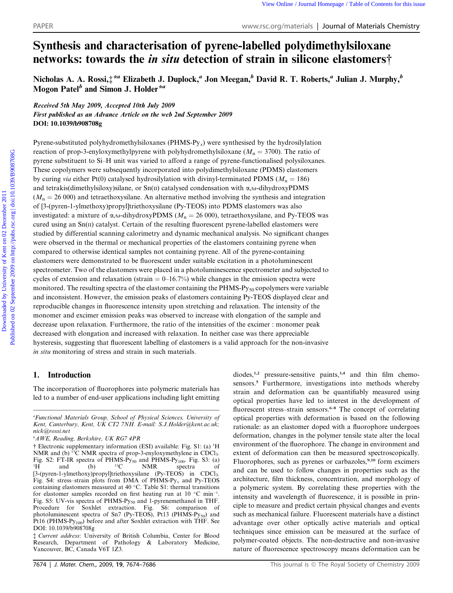### Synthesis and characterisation of pyrene-labelled polydimethylsiloxane networks: towards the in situ detection of strain in silicone elastomers†

Nicholas A. A. Rossi, $\ddagger^{*a}$  Elizabeth J. Duplock, ${}^a$  Jon Meegan, ${}^b$  David R. T. Roberts, ${}^a$  Julian J. Murphy, ${}^b$ Mogon  $\mathrm{Patel}^b$  and Simon J. Holder $^{\star a}$ 

Received 5th May 2009, Accepted 10th July 2009 First published as an Advance Article on the web 2nd September 2009 DOI: 10.1039/b908708g

Pyrene-substituted polyhydromethylsiloxanes (PHMS-Py*x*) were synthesised by the hydrosilylation reaction of prop-3-enyloxymethylpyrene with polyhydromethylsiloxane ( $M_n = 3700$ ). The ratio of pyrene substituent to Si–H unit was varied to afford a range of pyrene-functionalised polysiloxanes. These copolymers were subsequently incorporated into polydimethylsiloxane (PDMS) elastomers by curing *via* either Pt(0) catalysed hydrosilylation with divinyl-terminated PDMS ( $M_n = 186$ ) and tetrakis(dimethylsiloxy)silane, or  $Sn(II)$  catalysed condensation with  $\alpha, \omega$ -dihydroxyPDMS  $(M_n = 26\,000)$  and tetraethoxysilane. An alternative method involving the synthesis and integration of [3-(pyren-1-ylmethoxy)propyl]triethoxysilane (Py-TEOS) into PDMS elastomers was also investigated: a mixture of  $\alpha$ ,  $\omega$ -dihydroxyPDMS ( $M<sub>n</sub> = 26 000$ ), tetraethoxysilane, and Py-TEOS was cured using an  $Sn(II)$  catalyst. Certain of the resulting fluorescent pyrene-labelled elastomers were studied by differential scanning calorimetry and dynamic mechanical analysis. No significant changes were observed in the thermal or mechanical properties of the elastomers containing pyrene when compared to otherwise identical samples not containing pyrene. All of the pyrene-containing elastomers were demonstrated to be fluorescent under suitable excitation in a photoluminescent spectrometer. Two of the elastomers were placed in a photoluminescence spectrometer and subjected to cycles of extension and relaxation (strain  $= 0-16.7\%$ ) while changes in the emission spectra were monitored. The resulting spectra of the elastomer containing the  $PHMS-Py_{50}$  copolymers were variable and inconsistent. However, the emission peaks of elastomers containing Py-TEOS displayed clear and reproducible changes in fluorescence intensity upon stretching and relaxation. The intensity of the monomer and excimer emission peaks was observed to increase with elongation of the sample and decrease upon relaxation. Furthermore, the ratio of the intensities of the excimer : monomer peak decreased with elongation and increased with relaxation. In neither case was there appreciable hysteresis, suggesting that fluorescent labelling of elastomers is a valid approach for the non-invasive *in situ* monitoring of stress and strain in such materials.

#### 1. Introduction

The incorporation of fluorophores into polymeric materials has led to a number of end-user applications including light emitting diodes,<sup>1,2</sup> pressure-sensitive paints,<sup>3,4</sup> and thin film chemosensors.<sup>5</sup> Furthermore, investigations into methods whereby strain and deformation can be quantifiably measured using optical properties have led to interest in the development of fluorescent stress–strain sensors.<sup>6–8</sup> The concept of correlating optical properties with deformation is based on the following rationale: as an elastomer doped with a fluorophore undergoes deformation, changes in the polymer tensile state alter the local environment of the fluorophore. The change in environment and extent of deformation can then be measured spectroscopically. Fluorophores, such as pyrenes or carbazoles,<sup>9,10</sup> form excimers and can be used to follow changes in properties such as the architecture, film thickness, concentration, and morphology of a polymeric system. By correlating these properties with the intensity and wavelength of fluorescence, it is possible in principle to measure and predict certain physical changes and events such as mechanical failure. Fluorescent materials have a distinct advantage over other optically active materials and optical techniques since emission can be measured at the surface of polymer-coated objects. The non-destructive and non-invasive nature of fluorescence spectroscopy means deformation can be

*<sup>a</sup>Functional Materials Group, School of Physical Sciences, University of Kent, Canterbury, Kent, UK CT2 7NH. E-mail: S.J.Holder@kent.ac.uk; nick@rossi.net*

*<sup>b</sup>AWE, Reading, Berkshire, UK RG7 4PR*

<sup>†</sup> Electronic supplementary information (ESI) available: Fig. S1: (a) <sup>1</sup>H NMR and (b) <sup>13</sup>C NMR spectra of prop-3-enyloxymethylene in CDCl<sub>3</sub>. Fig. S2: FT-IR spectra of PHMS-Py<sub>50</sub> and PHMS-Py<sub>100</sub>. Fig. S3: (a) <sup>1</sup>H and (b) <sup>13</sup>C NMR spectra of  ${}^{1}$ H and (b)  ${}^{13}$ C NMR spectra of [3-(pyren-1-ylmethoxy)propyl]triethoxysilane (Py-TEOS) in CDCl<sub>3</sub>. Fig. S4: stress–strain plots from DMA of PHMS-Py*<sup>x</sup>* and Py-TEOS containing elastomers measured at 40 °C. Table S1: thermal transitions for elastomer samples recorded on first heating run at 10  $^{\circ}$ C min<sup>-1</sup>. Fig. S5: UV-vis spectra of PHMS-Py<sub>50</sub> and 1-pyrenemethanol in THF. Procedure for Soxhlet extraction. Fig. S6: comparison of photoluminescent spectra of Sn7 (Py-TEOS), Pt13 (PHMS-Py<sub>50</sub>) and Pt16 (PHMS-Py<sub>100</sub>) before and after Soxhlet extraction with THF. See DOI: 10.1039/b908708g

<sup>‡</sup> *Current address*: University of British Columbia, Center for Blood Research, Department of Pathology & Laboratory Medicine, Vancouver, BC, Canada V6T 1Z3.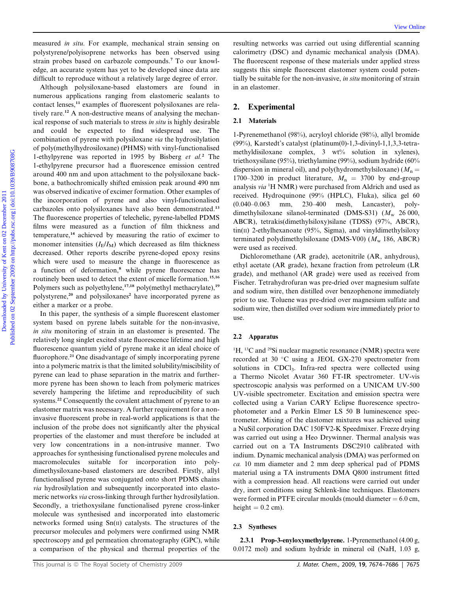measured *in situ*. For example, mechanical strain sensing on polystyrene/polyisoprene networks has been observed using strain probes based on carbazole compounds.<sup>7</sup> To our knowledge, an accurate system has yet to be developed since data are difficult to reproduce without a relatively large degree of error.

Although polysiloxane-based elastomers are found in numerous applications ranging from elastomeric sealants to contact lenses,<sup>11</sup> examples of fluorescent polysiloxanes are relatively rare.<sup>12</sup> A non-destructive means of analysing the mechanical response of such materials to stress *in situ* is highly desirable and could be expected to find widespread use. The combination of pyrene with polysiloxane *via* the hydrosilylation of poly(methylhydrosiloxane) (PHMS) with vinyl-functionalised 1-ethylpyrene was reported in 1995 by Bisberg *et al.*<sup>2</sup> The 1-ethylpyrene precursor had a fluorescence emission centred around 400 nm and upon attachment to the polysiloxane backbone, a bathochromically shifted emission peak around 490 nm was observed indicative of excimer formation. Other examples of the incorporation of pyrene and also vinyl-functionalised carbazoles onto polysiloxanes have also been demonstrated.<sup>13</sup> The fluorescence properties of telechelic, pyrene-labelled PDMS films were measured as a function of film thickness and temperature,<sup>14</sup> achieved by measuring the ratio of excimer to monomer intensities  $(I_E/I_M)$  which decreased as film thickness decreased. Other reports describe pyrene-doped epoxy resins which were used to measure the change in fluorescence as a function of deformation,<sup>8</sup> while pyrene fluorescence has routinely been used to detect the extent of micelle formation.<sup>15,16</sup> Polymers such as polyethylene,<sup>17,18</sup> poly(methyl methacrylate),<sup>19</sup> polystyrene,<sup>20</sup> and polysiloxanes<sup>2</sup> have incorporated pyrene as either a marker or a probe.

In this paper, the synthesis of a simple fluorescent elastomer system based on pyrene labels suitable for the non-invasive, *in situ* monitoring of strain in an elastomer is presented. The relatively long singlet excited state fluorescence lifetime and high fluorescence quantum yield of pyrene make it an ideal choice of fluorophore.<sup>21</sup> One disadvantage of simply incorporating pyrene into a polymeric matrix is that the limited solubility/miscibility of pyrene can lead to phase separation in the matrix and furthermore pyrene has been shown to leach from polymeric matrices severely hampering the lifetime and reproducibility of such systems.<sup>22</sup> Consequently the covalent attachment of pyrene to an elastomer matrix was necessary. A further requirement for a noninvasive fluorescent probe in real-world applications is that the inclusion of the probe does not significantly alter the physical properties of the elastomer and must therefore be included at very low concentrations in a non-intrusive manner. Two approaches for synthesising functionalised pyrene molecules and macromolecules suitable for incorporation into polydimethysiloxane-based elastomers are described. Firstly, allyl functionalised pyrene was conjugated onto short PDMS chains *via* hydrosilylation and subsequently incorporated into elastomeric networks *via* cross-linking through further hydrosilylation. Secondly, a triethoxysilane functionalised pyrene cross-linker molecule was synthesised and incorporated into elastomeric networks formed using  $Sn(II)$  catalysts. The structures of the precursor molecules and polymers were confirmed using NMR spectroscopy and gel permeation chromatography (GPC), while a comparison of the physical and thermal properties of the

resulting networks was carried out using differential scanning calorimetry (DSC) and dynamic mechanical analysis (DMA). The fluorescent response of these materials under applied stress suggests this simple fluorescent elastomer system could potentially be suitable for the non-invasive, *in situ* monitoring of strain in an elastomer.

#### 2. Experimental

#### 2.1 Materials

1-Pyrenemethanol (98%), acryloyl chloride (98%), allyl bromide (99%), Karstedt's catalyst (platinum(0)-1,3-divinyl-1,1,3,3-tetramethyldisiloxane complex, 3 wt% solution in xylenes), triethoxysilane (95%), triethylamine (99%), sodium hydride (60% dispersion in mineral oil), and poly(hydromethylsiloxane) ( $M_n =$ 1700–3200 in product literature,  $M_n = 3700$  by end-group analysis *via* <sup>1</sup>H NMR) were purchased from Aldrich and used as received. Hydroquinone (99% (HPLC), Fluka), silica gel 60 (0.040–0.063 mm, 230–400 mesh, Lancaster), polydimethylsiloxane silanol-terminated (DMS-S31) ( $M_{\rm w}$  26 000, ABCR), tetrakis(dimethylsiloxy)silane (TDSS) (97%, ABCR), tin(II) 2-ethylhexanoate (95%, Sigma), and vinyldimethylsiloxy terminated polydimethylsiloxane (DMS-V00)  $(M_w 186, ABCR)$ were used as received.

Dichloromethane (AR grade), acetonitrile (AR, anhydrous), ethyl acetate (AR grade), hexane fraction from petroleum (LR grade), and methanol (AR grade) were used as received from Fischer. Tetrahydrofuran was pre-dried over magnesium sulfate and sodium wire, then distilled over benzophenone immediately prior to use. Toluene was pre-dried over magnesium sulfate and sodium wire, then distilled over sodium wire immediately prior to use.

#### 2.2 Apparatus

 $H$ , <sup>13</sup>C and <sup>29</sup>Si nuclear magnetic resonance (NMR) spectra were recorded at 30 °C using a JEOL GX-270 spectrometer from solutions in CDCl<sub>3</sub>. Infra-red spectra were collected using a Thermo Nicolet Avatar 360 FT-IR spectrometer. UV-vis spectroscopic analysis was performed on a UNICAM UV-500 UV-visible spectrometer. Excitation and emission spectra were collected using a Varian CARY Eclipse fluorescence spectrophotometer and a Perkin Elmer LS 50 B luminescence spectrometer. Mixing of the elastomer mixtures was achieved using a NuSil corporation DAC 150FV2-K Speedmixer. Freeze drying was carried out using a Heo Drywinner. Thermal analysis was carried out on a TA Instruments DSC2910 calibrated with indium. Dynamic mechanical analysis (DMA) was performed on *ca.* 10 mm diameter and 2 mm deep spherical pad of PDMS material using a TA instruments DMA Q800 instrument fitted with a compression head. All reactions were carried out under dry, inert conditions using Schlenk-line techniques. Elastomers were formed in PTFE circular moulds (mould diameter  $= 6.0$  cm, height  $= 0.2$  cm).

#### 2.3 Syntheses

2.3.1 Prop-3-enyloxymethylpyrene. 1-Pyrenemethanol (4.00 g, 0.0172 mol) and sodium hydride in mineral oil (NaH, 1.03 g,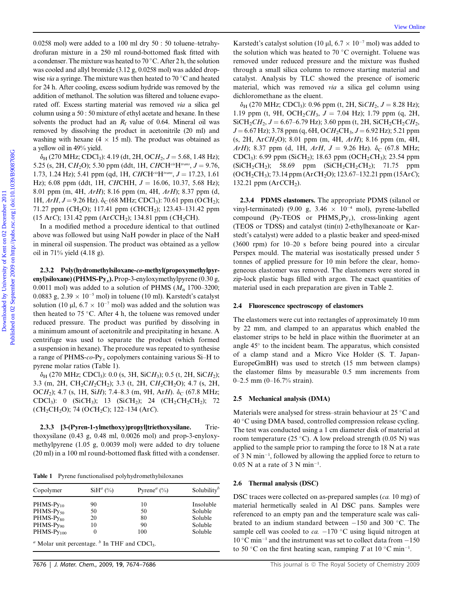0.0258 mol) were added to a 100 ml dry 50 : 50 toluene–tetrahydrofuran mixture in a 250 ml round-bottomed flask fitted with a condenser. The mixture was heated to 70 °C. After 2 h, the solution was cooled and allyl bromide (3.12 g, 0.0258 mol) was added dropwise *via* a syringe. The mixture was then heated to 70 °C and heated for 24 h. After cooling, excess sodium hydride was removed by the addition of methanol. The solution was filtered and toluene evaporated off. Excess starting material was removed *via* a silica gel column using a 50 : 50 mixture of ethyl acetate and hexane. In these solvents the product had an  $R_f$  value of 0.64. Mineral oil was removed by dissolving the product in acetonitrile (20 ml) and washing with hexane (4  $\times$  15 ml). The product was obtained as a yellow oil in 49% yield.

 $\delta_H$  (270 MHz; CDCl<sub>3</sub>): 4.19 (dt, 2H, OCH<sub>2</sub>, J = 5.68, 1.48 Hz); 5.25 (s, 2H, CH<sub>2</sub>O); 5.30 ppm (ddt, 1H, *CHCH<sup>cis</sup>H<sup>trans</sup>*,  $J = 9.76$ , 1.73, 1.24 Hz); 5.41 ppm (qd, 1H, *CHCH<sup>cis</sup>H<sup>trans</sup>*, *J* = 17.23, 1.61 Hz); 6.08 ppm (ddt, 1H, *CHCHH*,  $J = 16.06, 10.37, 5.68$  Hz); 8.01 ppm (m, 4H, *ArH*); 8.16 ppm (m, 4H, *ArH*); 8.37 ppm (d, 1H,  $ArH$ ,  $J = 9.26$  Hz).  $\delta_C$  (68 MHz; CDCl<sub>3</sub>): 70.61 ppm (OCH<sub>2</sub>); 71.27 ppm (*C*H<sub>2</sub>O); 117.41 ppm (*C*HCH<sub>2</sub>); 123.43–131.42 ppm (15 Ar*C*); 131.42 ppm (Ar*CCH*<sub>2</sub>); 134.81 ppm (*CH*<sub>2</sub>CH).

In a modified method a procedure identical to that outlined above was followed but using NaH powder in place of the NaH in mineral oil suspension. The product was obtained as a yellow oil in 71% yield (4.18 g).

2.3.2 Poly(hydromethylsiloxane-co-methyl(propoxymethylpyrenyl)siloxane) (PHMS-Py<sub>x</sub>). Prop-3-enyloxymethylpyrene (0.30 g, 0.0011 mol) was added to a solution of PHMS  $(M_n 1700-3200;$ 0.0883 g,  $2.39 \times 10^{-5}$  mol) in toluene (10 ml). Karstedt's catalyst solution (10  $\mu$ l, 6.7  $\times$  10<sup>-7</sup> mol) was added and the solution was then heated to 75 °C. After 4 h, the toluene was removed under reduced pressure. The product was purified by dissolving in a minimum amount of acetonitrile and precipitating in hexane. A centrifuge was used to separate the product (which formed a suspension in hexane). The procedure was repeated to synthesise a range of PHMS-*co*-Py*<sup>x</sup>* copolymers containing various Si–H to pyrene molar ratios (Table 1).

 $\delta_H$  (270 MHz; CDCl<sub>3</sub>): 0.0 (s, 3H, SiCH<sub>3</sub>); 0.5 (t, 2H, SiCH<sub>2</sub>); 3.3 (m, 2H, CH<sub>2</sub>CH<sub>2</sub>CH<sub>2</sub>); 3.3 (t, 2H, CH<sub>2</sub>CH<sub>2</sub>O); 4.7 (s, 2H, OCH<sub>2</sub>); 4.7 (s, 1H, SiH); 7.4–8.3 (m, 9H, ArH).  $\delta$ <sub>C</sub> (67.8 MHz; CDCl3): 0 (Si*C*H3); 13 (Si*C*H2); 24 (CH2*C*H2CH2); 72 (*C*H2CH2O); 74 (O*C*H2C); 122–134 (Ar*C*).

2.3.3 [3-(Pyren-1-ylmethoxy)propyl]triethoxysilane. Triethoxysilane (0.43 g, 0.48 ml, 0.0026 mol) and prop-3-enyloxymethylpyrene (1.05 g, 0.0039 mol) were added to dry toluene (20 ml) in a 100 ml round-bottomed flask fitted with a condenser.

Table 1 Pyrene functionalised polyhydromethylsiloxanes

| Copolymer             | $SiH^a$ (%)                                                   | Pyrene <sup><math>a</math></sup> (%) | Solubility <sup>b</sup> |
|-----------------------|---------------------------------------------------------------|--------------------------------------|-------------------------|
| $PHMS-Py_{10}$        | 90                                                            | 10                                   | Insoluble               |
| $PHMS-Py_{50}$        | 50                                                            | 50                                   | Soluble                 |
| PHMS-Py <sub>80</sub> | 20                                                            | 80                                   | Soluble                 |
| PHMS-Py <sub>90</sub> | 10                                                            | 90                                   | Soluble                 |
| $PHMS-Pv100$          | $\theta$                                                      | 100                                  | Soluble                 |
|                       | $a$ Molar unit percentage. $b$ In THF and CDCl <sub>3</sub> . |                                      |                         |

Karstedt's catalyst solution (10 µl,  $6.7 \times 10^{-7}$  mol) was added to the solution which was heated to 70  $\mathrm{^{\circ}C}$  overnight. Toluene was removed under reduced pressure and the mixture was flushed through a small silica column to remove starting material and catalyst. Analysis by TLC showed the presence of isomeric material, which was removed *via* a silica gel column using dichloromethane as the eluent.

 $\delta_H$  (270 MHz; CDCl<sub>3</sub>): 0.96 ppm (t, 2H, SiCH<sub>2</sub>,  $J = 8.28$  Hz); 1.19 ppm (t, 9H, OCH<sub>2</sub>CH<sub>3</sub>,  $J = 7.04$  Hz); 1.79 ppm (q, 2H,  $SiCH_2CH_2$ ,  $J = 6.67-6.79$  Hz); 3.60 ppm (t, 2H,  $SiCH_2CH_2CH_2$ , *J* = 6.67 Hz); 3.78 ppm (q, 6H, O*CH*<sub>2</sub>CH<sub>3</sub>, *J* = 6.92 Hz); 5.21 ppm (s, 2H, Ar*CH*2O); 8.01 ppm (m, 4H, *ArH*); 8.16 ppm (m, 4H, *ArH*); 8.37 ppm (d, 1H, *ArH*,  $J = 9.26$  Hz).  $\delta_C$  (67.8 MHz; CDCl<sub>3</sub>): 6.99 ppm (SiCH<sub>2</sub>); 18.63 ppm (OCH<sub>2</sub>CH<sub>3</sub>); 23.54 ppm  $(SiCH_2CH_2);$  58.69 ppm  $(SiCH_2CH_2CH_2);$  71.75 ppm (O*C*H2CH3); 73.14 ppm (Ar*C*H2O); 123.67–132.21 ppm (15Ar*C*); 132.21 ppm  $(ArCCH_2)$ .

2.3.4 PDMS elastomers. The appropriate PDMS (silanol or vinyl-terminated) (9.00 g, 3.46  $\times$  10<sup>-4</sup> mol), pyrene-labelled compound (Py-TEOS or PHMS*x*Py*y*), cross-linking agent (TEOS or TDSS) and catalyst  $(tin(II) 2-ethylhexanoate)$  or Karstedt's catalyst) were added to a plastic beaker and speed-mixed (3600 rpm) for 10–20 s before being poured into a circular Perspex mould. The material was isostatically pressed under 5 tonnes of applied pressure for 10 min before the clear, homogeneous elastomer was removed. The elastomers were stored in zip-lock plastic bags filled with argon. The exact quantities of material used in each preparation are given in Table 2.

#### 2.4 Fluorescence spectroscopy of elastomers

The elastomers were cut into rectangles of approximately 10 mm by 22 mm, and clamped to an apparatus which enabled the elastomer strips to be held in place within the fluorimeter at an angle 45° to the incident beam. The apparatus, which consisted of a clamp stand and a Micro Vice Holder (S. T. Japan-EuropeGmBH) was used to stretch (15 mm between clamps) the elastomer films by measurable 0.5 mm increments from 0–2.5 mm (0–16.7% strain).

#### 2.5 Mechanical analysis (DMA)

Materials were analysed for stress-strain behaviour at 25  $\rm{^{\circ}C}$  and 40 °C using DMA based, controlled compression release cycling. The test was conducted using a 1 cm diameter disk of material at room temperature (25 °C). A low preload strength (0.05 N) was applied to the sample prior to ramping the force to 18 N at a rate of  $3$  N min<sup>-1</sup>, followed by allowing the applied force to return to  $0.05$  N at a rate of 3 N min<sup>-1</sup>.

#### 2.6 Thermal analysis (DSC)

DSC traces were collected on as-prepared samples (*ca.* 10 mg) of material hermetically sealed in Al DSC pans. Samples were referenced to an empty pan and the temperature scale was calibrated to an indium standard between  $-150$  and 300 °C. The sample cell was cooled to  $ca. -170$  °C using liquid nitrogen at  $10^{\circ}$ C min<sup>-1</sup> and the instrument was set to collect data from  $-150$ to 50 °C on the first heating scan, ramping *T* at 10 °C min<sup>-1</sup>.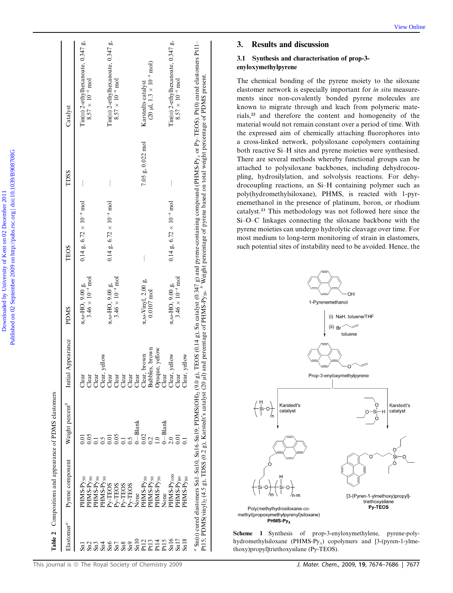|                                 | Table 2 Compositions and appearance of PDMS elastomers                                                                                                     |                             |                                                                                                                             |                                  |                                                   |                      |                                                                                                                                                                                                                                                                |
|---------------------------------|------------------------------------------------------------------------------------------------------------------------------------------------------------|-----------------------------|-----------------------------------------------------------------------------------------------------------------------------|----------------------------------|---------------------------------------------------|----------------------|----------------------------------------------------------------------------------------------------------------------------------------------------------------------------------------------------------------------------------------------------------------|
| Elastomer <sup>a</sup>          | Pyrene component                                                                                                                                           | Weight percent <sup>o</sup> | Initial Appearance                                                                                                          | <b>SMGG</b>                      | TEOS                                              | TDSS                 | Catalyst                                                                                                                                                                                                                                                       |
|                                 | PHMS-Py <sub>50</sub>                                                                                                                                      |                             | Clear                                                                                                                       | $\alpha$ , $\omega$ -HO, 9.00 g, | $0.14$ g, $6.72 \times 10^{-4}$ mol               |                      | Tin(II) 2-ethylhexanoate, 0.347 g,                                                                                                                                                                                                                             |
| $\frac{5}{2}$                   | PHMS-Py <sub>50</sub><br>PHMS-Py <sub>50</sub>                                                                                                             | 0.05<br>$\overline{1}$      | Clear                                                                                                                       | $3.46 \times 10^{-4}$ mol        |                                                   |                      | $8.57 \times 10^{-4}$ mol                                                                                                                                                                                                                                      |
|                                 | PHMS-P <sub>V50</sub>                                                                                                                                      |                             | Clear<br>Clear, yellow                                                                                                      |                                  |                                                   |                      |                                                                                                                                                                                                                                                                |
| $\frac{\text{Snd}}{\text{Snd}}$ | Pv-TEOS                                                                                                                                                    |                             | Clear                                                                                                                       | $\alpha$ , ω-HO, 9.00 g,         | $0.14 \text{ g}, 6.72 \times 10^{-4} \text{ mol}$ |                      | Tin(II) 2-ethylhexanoate, 0.347 g,                                                                                                                                                                                                                             |
| $\mathrm{Sn}7$                  | Py-TEOS                                                                                                                                                    | 0.05                        | $\begin{array}{l} \text{Clear} \\ \text{Clear} \\ \text{Clear} \\ \text{Clear} \\ \text{Clear} \\ \text{Clear} \end{array}$ | $3.46 \times 10^{-4}$ mol        |                                                   |                      | $8.57 \times 10^{-4}$ mol                                                                                                                                                                                                                                      |
|                                 | Py-TEOS                                                                                                                                                    | $\overline{1}$              |                                                                                                                             |                                  |                                                   |                      |                                                                                                                                                                                                                                                                |
|                                 | Py-TEOS                                                                                                                                                    |                             |                                                                                                                             |                                  |                                                   |                      |                                                                                                                                                                                                                                                                |
|                                 | None                                                                                                                                                       | $-$ Blank                   |                                                                                                                             |                                  |                                                   |                      |                                                                                                                                                                                                                                                                |
|                                 | PHMS-Py <sub>50</sub>                                                                                                                                      | 0.02                        |                                                                                                                             | $\alpha$ , ω-Vinyl, 2.00 g,      |                                                   | $7.05 g, 0.022 m$ ol | Karstedts catalyst                                                                                                                                                                                                                                             |
|                                 | PHMS-Py <sub>50</sub>                                                                                                                                      | $\mathbf{\overline{c}}$     | Bubbles, brown                                                                                                              | $0.0107$ mol                     |                                                   |                      | $(20 \mu l, 1.3 \times 10^{-8} \text{ mol})$                                                                                                                                                                                                                   |
|                                 | PHMS-Py <sub>50</sub>                                                                                                                                      |                             | Opaque, yellow<br>Clear                                                                                                     |                                  |                                                   |                      |                                                                                                                                                                                                                                                                |
|                                 | None                                                                                                                                                       | $-$ Blank                   |                                                                                                                             |                                  |                                                   |                      |                                                                                                                                                                                                                                                                |
|                                 | PHMS-P <sub>V100</sub>                                                                                                                                     |                             | Clear, yellow                                                                                                               | $\alpha, \omega - H$ O, 9.00 g,  | $0.14 \text{ g}, 6.72 \times 10^{-4} \text{ mol}$ |                      | Tin(II) 2-ethylhexanoate, 0.347 g,                                                                                                                                                                                                                             |
|                                 | PHMS-Py <sub>80</sub>                                                                                                                                      |                             | Clear                                                                                                                       | $3.46 \times 10^{-4}$ mol        |                                                   |                      | $8.57 \times 10^{-4}$ mol                                                                                                                                                                                                                                      |
| Sn18                            | PHMS-Py <sub>80</sub>                                                                                                                                      |                             | Clear, yellow                                                                                                               |                                  |                                                   |                      |                                                                                                                                                                                                                                                                |
|                                 | $\alpha$ Sn( $\pi$ ) cured elastomers Sn1-Sn10, Sn16-Sn19; PDMS(OH), (9.0<br>Pt15; PDMS(vinyl) <sub>2</sub> (4.5 g), TDSS (0.2 g), Karstedt's catalyst (20 |                             |                                                                                                                             |                                  |                                                   |                      | g), TEOS (0.14 g), Sn catalyst (0.347 g) and pyrene-containing compound (PHMS-Py <sub>x</sub> or Py-TEOS). Pt(0) cured elastomers Pt11–<br>µl) and percentage of PHMS-Py <sub>so</sub> . <sup>6</sup> Weight percentage of pyrene based on total weight percen |

3.1 Synthesis and characterisation of prop-3-

3. Results and discussion

enyloxymethylpyrene

ments since non-covalently bonded pyrene molecules are known to migrate through and leach from polymeric materials,<sup>22</sup> and therefore the content and homogeneity of the material would not remain constant over a period of time. With the expressed aim of chemically attaching fluorophores into a cross-linked network, polysiloxane copolymers containing both reactive Si–H sites and pyrene moieties were synthesised. There are several methods whereby functional groups can be attached to polysiloxane backbones, including dehydrocoupling, hydrosilylation, and solvolysis reactions. For dehydrocoupling reactions, an Si–H containing polymer such as poly(hydromethylsiloxane), PHMS, is reacted with 1-pyrenemethanol in the presence of platinum, boron, or rhodium catalyst.<sup>23</sup> This methodology was not followed here since the Si–O–C linkages connecting the siloxane backbone with the pyrene moieties can undergo hydrolytic cleavage over time. For most medium to long-term monitoring of strain in elastomers, such potential sites of instability need to be avoided. Hence, the

The chemical bonding of the pyrene moiety to the siloxane



Scheme 1 Synthesis of prop-3-enyloxymethylene, pyrene-polyhydromethylsiloxane (PHMS-Py*x*) copolymers and [3-(pyren-1-ylmethoxy)propyl]triethoxysilane (Py-TEOS).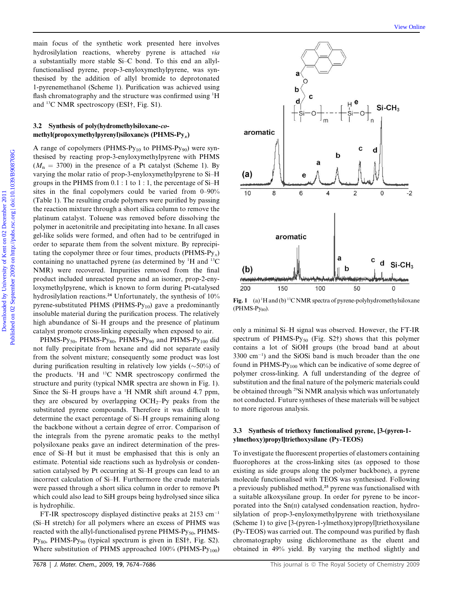main focus of the synthetic work presented here involves hydrosilylation reactions, whereby pyrene is attached *via* a substantially more stable Si–C bond. To this end an allylfunctionalised pyrene, prop-3-enyloxymethylpyrene, was synthesised by the addition of allyl bromide to deprotonated 1-pyrenemethanol (Scheme 1). Purification was achieved using flash chromatography and the structure was confirmed using <sup>1</sup>H and <sup>13</sup>C NMR spectroscopy (ESI†, Fig. S1).

#### 3.2 Synthesis of poly(hydromethylsiloxane-comethyl(propoxymethylpyrenyl)siloxane)s (PHMS- $Py_x$ )

A range of copolymers (PHMS-Py<sub>10</sub> to PHMS-Py<sub>90</sub>) were synthesised by reacting prop-3-enyloxymethylpyrene with PHMS  $(M_n = 3700)$  in the presence of a Pt catalyst (Scheme 1). By varying the molar ratio of prop-3-enyloxymethylpyrene to Si–H groups in the PHMS from 0.1 : 1 to 1 : 1, the percentage of Si–H sites in the final copolymers could be varied from 0–90% (Table 1). The resulting crude polymers were purified by passing the reaction mixture through a short silica column to remove the platinum catalyst. Toluene was removed before dissolving the polymer in acetonitrile and precipitating into hexane. In all cases gel-like solids were formed, and often had to be centrifuged in order to separate them from the solvent mixture. By reprecipitating the copolymer three or four times, products (PHMS-Py*x*) containing no unattached pyrene (as determined by  ${}^{1}$ H and  ${}^{13}$ C NMR) were recovered. Impurities removed from the final product included unreacted pyrene and an isomer, prop-2-enyloxymethylpyrene, which is known to form during Pt-catalysed hydrosilylation reactions.<sup>24</sup> Unfortunately, the synthesis of 10% pyrene-substituted PHMS (PHMS- $Py_{10}$ ) gave a predominantly insoluble material during the purification process. The relatively high abundance of Si–H groups and the presence of platinum catalyst promote cross-linking especially when exposed to air.

PHMS-Py<sub>50</sub>, PHMS-Py<sub>80</sub>, PHMS-Py<sub>90</sub> and PHMS-Py<sub>100</sub> did not fully precipitate from hexane and did not separate easily from the solvent mixture; consequently some product was lost during purification resulting in relatively low yields  $(\sim 50\%)$  of the products. <sup>1</sup>H and <sup>13</sup>C NMR spectroscopy confirmed the structure and purity (typical NMR spectra are shown in Fig. 1). Since the Si–H groups have a <sup>1</sup>H NMR shift around 4.7 ppm, they are obscured by overlapping  $OCH<sub>2</sub>-Py$  peaks from the substituted pyrene compounds. Therefore it was difficult to determine the exact percentage of Si–H groups remaining along the backbone without a certain degree of error. Comparison of the integrals from the pyrene aromatic peaks to the methyl polysiloxane peaks gave an indirect determination of the presence of Si–H but it must be emphasised that this is only an estimate. Potential side reactions such as hydrolysis or condensation catalysed by Pt occurring at Si–H groups can lead to an incorrect calculation of Si–H. Furthermore the crude materials were passed through a short silica column in order to remove Pt which could also lead to SiH groups being hydrolysed since silica is hydrophilic.

FT-IR spectroscopy displayed distinctive peaks at  $2153 \text{ cm}^{-1}$ (Si–H stretch) for all polymers where an excess of PHMS was reacted with the allyl-functionalised pyrene PHMS-Py<sub>50</sub>, PHMS-Py<sub>80</sub>, PHMS-Py<sub>90</sub> (typical spectrum is given in ESI<sup>†</sup>, Fig. S2). Where substitution of PHMS approached  $100\%$  (PHMS-Py<sub>100</sub>)



Fig. 1 (a)  $^1$ H and (b)  $^1$ <sup>3</sup>C NMR spectra of pyrene-polyhydromethylsiloxane  $(PHMS-Py_{80})$ .

only a minimal Si–H signal was observed. However, the FT-IR spectrum of PHMS-Py<sub>50</sub> (Fig. S2†) shows that this polymer contains a lot of SiOH groups (the broad band at about  $3300 \text{ cm}^{-1}$ ) and the SiOSi band is much broader than the one found in  $PHMS-Py_{100}$  which can be indicative of some degree of polymer cross-linking. A full understanding of the degree of substitution and the final nature of the polymeric materials could be obtained through <sup>29</sup>Si NMR analysis which was unfortunately not conducted. Future syntheses of these materials will be subject to more rigorous analysis.

#### 3.3 Synthesis of triethoxy functionalised pyrene, [3-(pyren-1 ylmethoxy)propyl]triethoxysilane (Py-TEOS)

To investigate the fluorescent properties of elastomers containing fluorophores at the cross-linking sites (as opposed to those existing as side groups along the polymer backbone), a pyrene molecule functionalised with TEOS was synthesised. Following a previously published method,<sup>25</sup> pyrene was functionalised with a suitable alkoxysilane group. In order for pyrene to be incorporated into the Sn(II) catalysed condensation reaction, hydrosilylation of prop-3-enyloxymethylpyrene with triethoxysilane (Scheme 1) to give [3-(pyren-1-ylmethoxy)propyl]triethoxysilane (Py-TEOS) was carried out. The compound was purified by flash chromatography using dichloromethane as the eluent and obtained in 49% yield. By varying the method slightly and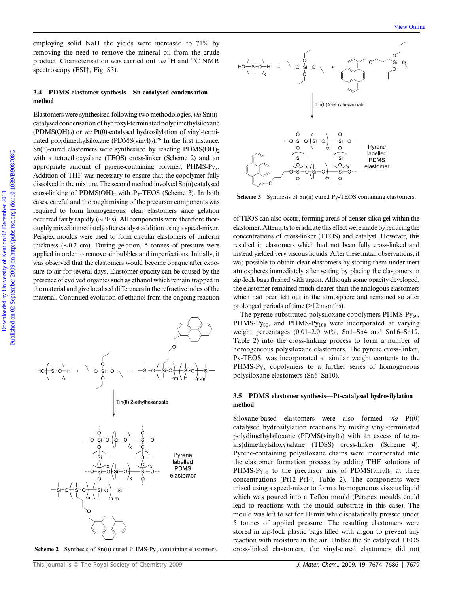employing solid NaH the yields were increased to 71% by removing the need to remove the mineral oil from the crude product. Characterisation was carried out *via* <sup>1</sup>H and <sup>13</sup>C NMR spectroscopy (ESI†, Fig. S3).

#### 3.4 PDMS elastomer synthesis—Sn catalysed condensation method

Elastomers were synthesised following two methodologies, *via* Sn(II)catalysed condensation of hydroxyl-terminated polydimethylsiloxane (PDMS(OH)<sub>2</sub>) or *via* Pt(0)-catalysed hydrosilylation of vinyl-terminated polydimethylsiloxane (PDMS(vinyl)<sub>2</sub>).<sup>26</sup> In the first instance,  $Sn(II)$ -cured elastomers were synthesised by reacting PDMS(OH)<sub>2</sub> with a tetraethoxysilane (TEOS) cross-linker (Scheme 2) and an appropriate amount of pyrene-containing polymer, PHMS-Py*x*. Addition of THF was necessary to ensure that the copolymer fully dissolved in the mixture. The second method involved Sn(II) catalysed cross-linking of  $PDMS(OH)$ <sub>2</sub> with Py-TEOS (Scheme 3). In both cases, careful and thorough mixing of the precursor components was required to form homogeneous, clear elastomers since gelation occurred fairly rapidly  $(\sim 30 \text{ s})$ . All components were therefore thoroughlymixedimmediately after catalyst addition using a speed-mixer. Perspex moulds were used to form circular elastomers of uniform thickness  $(\sim 0.2$  cm). During gelation, 5 tonnes of pressure were applied in order to remove air bubbles and imperfections. Initially, it was observed that the elastomers would become opaque after exposure to air for several days. Elastomer opacity can be caused by the presence of evolved organics such as ethanol which remain trapped in the material and give localised differences in the refractive index of the material. Continued evolution of ethanol from the ongoing reaction





Scheme  $3$  Synthesis of Sn( $\text{II}$ ) cured Py-TEOS containing elastomers.

of TEOS can also occur, forming areas of denser silica gel within the elastomer. Attempts to eradicate this effect weremade by reducing the concentrations of cross-linker (TEOS) and catalyst. However, this resulted in elastomers which had not been fully cross-linked and instead yielded very viscous liquids. After these initial observations, it was possible to obtain clear elastomers by storing them under inert atmospheres immediately after setting by placing the elastomers in zip-lock bags flushed with argon. Although some opacity developed, the elastomer remained much clearer than the analogous elastomers which had been left out in the atmosphere and remained so after prolonged periods of time (>12 months).

The pyrene-substituted polysiloxane copolymers PHMS-Py<sub>50</sub>,  $PHMS-Py_{80}$ , and  $PHMS-Py_{100}$  were incorporated at varying weight percentages (0.01–2.0 wt%, Sn1–Sn4 and Sn16–Sn19, Table 2) into the cross-linking process to form a number of homogeneous polysiloxane elastomers. The pyrene cross-linker, Py-TEOS, was incorporated at similar weight contents to the PHMS-Py<sub>x</sub> copolymers to a further series of homogeneous polysiloxane elastomers (Sn6–Sn10).

#### 3.5 PDMS elastomer synthesis—Pt-catalysed hydrosilylation method

Siloxane-based elastomers were also formed *via* Pt(0) catalysed hydrosilylation reactions by mixing vinyl-terminated polydimethylsiloxane (PDMS(vinyl)<sub>2</sub>) with an excess of tetrakis(dimethylsiloxy)silane (TDSS) cross-linker (Scheme 4). Pyrene-containing polysiloxane chains were incorporated into the elastomer formation process by adding THF solutions of PHMS-Py<sub>50</sub> to the precursor mix of PDMS(vinyl)<sub>2</sub> at three concentrations (Pt12–Pt14, Table 2). The components were mixed using a speed-mixer to form a homogeneous viscous liquid which was poured into a Teflon mould (Perspex moulds could lead to reactions with the mould substrate in this case). The mould was left to set for 10 min while isostatically pressed under 5 tonnes of applied pressure. The resulting elastomers were stored in zip-lock plastic bags filled with argon to prevent any reaction with moisture in the air. Unlike the Sn catalysed TEOS Scheme 2 Synthesis of Sn(II) cured PHMS-Py<sub>x</sub> containing elastomers. cross-linked elastomers, the vinyl-cured elastomers did not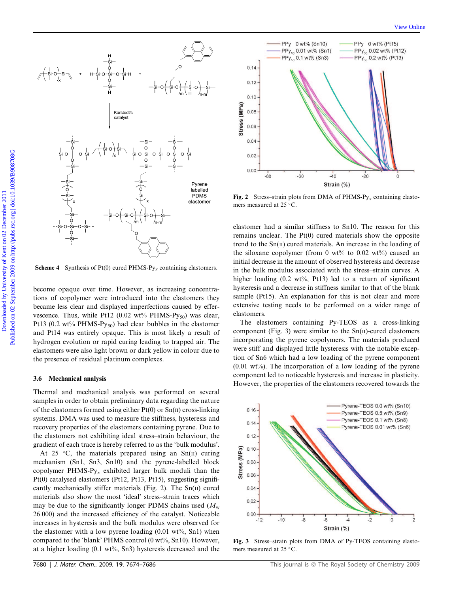

**Scheme 4** Synthesis of  $Pt(0)$  cured  $PHMS-Py_x$  containing elastomers.

become opaque over time. However, as increasing concentrations of copolymer were introduced into the elastomers they became less clear and displayed imperfections caused by effervescence. Thus, while Pt12 (0.02 wt% PHMS-Py<sub>50</sub>) was clear, Pt13 (0.2 wt% PHMS-Py<sub>50</sub>) had clear bubbles in the elastomer and Pt14 was entirely opaque. This is most likely a result of hydrogen evolution or rapid curing leading to trapped air. The elastomers were also light brown or dark yellow in colour due to the presence of residual platinum complexes.

#### 3.6 Mechanical analysis

Thermal and mechanical analysis was performed on several samples in order to obtain preliminary data regarding the nature of the elastomers formed using either  $Pt(0)$  or  $Sn(II)$  cross-linking systems. DMA was used to measure the stiffness, hysteresis and recovery properties of the elastomers containing pyrene. Due to the elastomers not exhibiting ideal stress–strain behaviour, the gradient of each trace is hereby referred to as the 'bulk modulus'.

At 25 °C, the materials prepared using an  $Sn(II)$  curing mechanism (Sn1, Sn3, Sn10) and the pyrene-labelled block copolymer PHMS-Py*<sup>x</sup>* exhibited larger bulk moduli than the Pt(0) catalysed elastomers (Pt12, Pt13, Pt15), suggesting significantly mechanically stiffer materials (Fig. 2). The  $Sn(II)$  cured materials also show the most 'ideal' stress–strain traces which may be due to the significantly longer PDMS chains used  $(M<sub>w</sub>)$ 26 000) and the increased efficiency of the catalyst. Noticeable increases in hysteresis and the bulk modulus were observed for the elastomer with a low pyrene loading  $(0.01 \text{ wt\%}, \text{Sn1})$  when compared to the 'blank' PHMS control (0 wt%, Sn10). However, at a higher loading  $(0.1 \text{ wt\%}, \text{Sn3})$  hysteresis decreased and the



Fig. 2 Stress–strain plots from DMA of PHMS-Py*<sup>x</sup>* containing elastomers measured at 25  $^{\circ}$ C.

elastomer had a similar stiffness to Sn10. The reason for this remains unclear. The Pt(0) cured materials show the opposite trend to the  $Sn(II)$  cured materials. An increase in the loading of the siloxane copolymer (from 0 wt% to 0.02 wt%) caused an initial decrease in the amount of observed hysteresis and decrease in the bulk modulus associated with the stress–strain curves. A higher loading (0.2 wt%, Pt13) led to a return of significant hysteresis and a decrease in stiffness similar to that of the blank sample (Pt15). An explanation for this is not clear and more extensive testing needs to be performed on a wider range of elastomers.

The elastomers containing Py-TEOS as a cross-linking component (Fig. 3) were similar to the  $Sn(II)$ -cured elastomers incorporating the pyrene copolymers. The materials produced were stiff and displayed little hysteresis with the notable exception of Sn6 which had a low loading of the pyrene component  $(0.01 \text{ wt\%})$ . The incorporation of a low loading of the pyrene component led to noticeable hysteresis and increase in plasticity. However, the properties of the elastomers recovered towards the



Fig. 3 Stress–strain plots from DMA of Py-TEOS containing elastomers measured at 25  $^{\circ}$ C.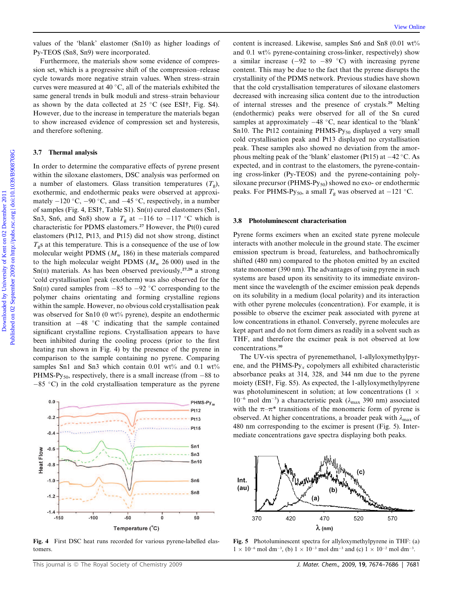values of the 'blank' elastomer (Sn10) as higher loadings of Py-TEOS (Sn8, Sn9) were incorporated.

Furthermore, the materials show some evidence of compression set, which is a progressive shift of the compression–release cycle towards more negative strain values. When stress–strain curves were measured at 40  $^{\circ}$ C, all of the materials exhibited the same general trends in bulk moduli and stress–strain behaviour as shown by the data collected at  $25^{\circ}$ C (see ESI†, Fig. S4). However, due to the increase in temperature the materials began to show increased evidence of compression set and hysteresis, and therefore softening.

#### 3.7 Thermal analysis

In order to determine the comparative effects of pyrene present within the siloxane elastomers, DSC analysis was performed on a number of elastomers. Glass transition temperatures  $(T<sub>g</sub>)$ , exothermic, and endothermic peaks were observed at approximately  $-120$  °C,  $-90$  °C, and  $-45$  °C, respectively, in a number of samples (Fig. 4, ESI†, Table S1). Sn(II) cured elastomers (Sn1, Sn3, Sn6, and Sn8) show a  $T_g$  at  $-116$  to  $-117$  °C which is characteristic for PDMS elastomers.<sup>27</sup> However, the  $Pt(0)$  cured elastomers (Pt12, Pt13, and Pt15) did not show strong, distinct  $T<sub>g</sub>$ s at this temperature. This is a consequence of the use of low molecular weight PDMS  $(M_w 186)$  in these materials compared to the high molecular weight PDMS  $(M_w 26000)$  used in the  $Sn(II)$  materials. As has been observed previously,<sup>27,28</sup> a strong 'cold crystallisation' peak (exotherm) was also observed for the Sn(II) cured samples from  $-85$  to  $-92$  °C corresponding to the polymer chains orientating and forming crystalline regions within the sample. However, no obvious cold crystallisation peak was observed for Sn10 (0 wt% pyrene), despite an endothermic transition at  $-48$  °C indicating that the sample contained significant crystalline regions. Crystallisation appears to have been inhibited during the cooling process (prior to the first heating run shown in Fig. 4) by the presence of the pyrene in comparison to the sample containing no pyrene. Comparing samples Sn1 and Sn3 which contain  $0.01$  wt% and  $0.1$  wt% PHMS-Py<sub>50</sub>, respectively, there is a small increase (from  $-88$  to  $-85$  °C) in the cold crystallisation temperature as the pyrene



Fig. 4 First DSC heat runs recorded for various pyrene-labelled elastomers.

content is increased. Likewise, samples Sn6 and Sn8  $(0.01 \text{ wt})$ and 0.1 wt% pyrene-containing cross-linker, respectively) show a similar increase  $(-92 \text{ to } -89 \text{ °C})$  with increasing pyrene content. This may be due to the fact that the pyrene disrupts the crystallinity of the PDMS network. Previous studies have shown that the cold crystallisation temperatures of siloxane elastomers decreased with increasing silica content due to the introduction of internal stresses and the presence of crystals.<sup>29</sup> Melting (endothermic) peaks were observed for all of the Sn cured samples at approximately  $-48$  °C, near identical to the 'blank' Sn10. The Pt12 containing PHMS-Py<sub>50</sub> displayed a very small cold crystallisation peak and Pt13 displayed no crystallisation peak. These samples also showed no deviation from the amorphous melting peak of the 'blank' elastomer (Pt15) at  $-42$  °C. As expected, and in contrast to the elastomers, the pyrene-containing cross-linker (Py-TEOS) and the pyrene-containing polysiloxane precursor (PHMS-Py<sub>50</sub>) showed no exo- or endothermic peaks. For PHMS-Py<sub>50</sub>, a small  $T_g$  was observed at -121 °C.

#### 3.8 Photoluminescent characterisation

Pyrene forms excimers when an excited state pyrene molecule interacts with another molecule in the ground state. The excimer emission spectrum is broad, featureless, and bathochromically shifted (480 nm) compared to the photon emitted by an excited state monomer (390 nm). The advantages of using pyrene in such systems are based upon its sensitivity to its immediate environment since the wavelength of the excimer emission peak depends on its solubility in a medium (local polarity) and its interaction with other pyrene molecules (concentration). For example, it is possible to observe the excimer peak associated with pyrene at low concentrations in ethanol. Conversely, pyrene molecules are kept apart and do not form dimers as readily in a solvent such as THF, and therefore the excimer peak is not observed at low concentrations.<sup>30</sup>

The UV-vis spectra of pyrenemethanol, 1-allyloxymethylpyrene, and the PHMS-Py*<sup>x</sup>* copolymers all exhibited characteristic absorbance peaks at 314, 328, and 344 nm due to the pyrene moiety (ESI†, Fig. S5). As expected, the 1-allyloxymethylpyrene was photoluminescent in solution; at low concentrations (1  $\times$  $10^{-6}$  mol dm<sup>-3</sup>) a characteristic peak ( $\lambda_{\text{max}}$  390 nm) associated with the  $\pi-\pi^*$  transitions of the monomeric form of pyrene is observed. At higher concentrations, a broader peak with  $\lambda_{\text{max}}$  of 480 nm corresponding to the excimer is present (Fig. 5). Intermediate concentrations gave spectra displaying both peaks.



Fig. 5 Photoluminescent spectra for allyloxymethylpyrene in THF: (a)  $1 \times 10^{-6}$  mol dm<sup>-3</sup>, (b)  $1 \times 10^{-3}$  mol dm<sup>-3</sup> and (c)  $1 \times 10^{-2}$  mol dm<sup>-3</sup>.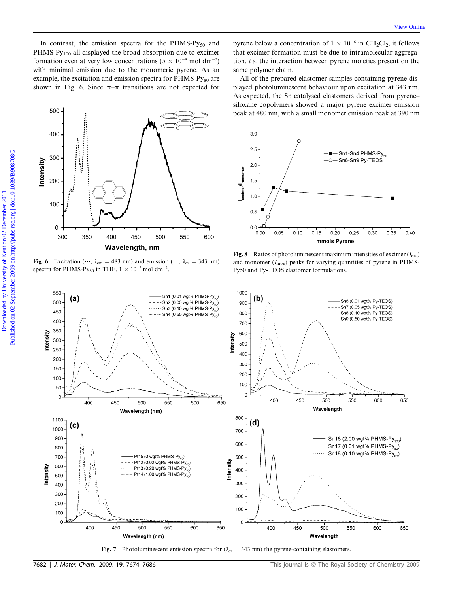

Fig. 6 Excitation ( $\cdots$ ,  $\lambda_{em} = 483$  nm) and emission ( $\cdots$ ,  $\lambda_{ex} = 343$  nm) spectra for PHMS-Py<sub>80</sub> in THF,  $1 \times 10^{-7}$  mol dm<sup>-3</sup>.

pyrene below a concentration of  $1 \times 10^{-6}$  in CH<sub>2</sub>Cl<sub>2</sub>, it follows that excimer formation must be due to intramolecular aggregation, *i.e.* the interaction between pyrene moieties present on the same polymer chain.

All of the prepared elastomer samples containing pyrene displayed photoluminescent behaviour upon excitation at 343 nm. As expected, the Sn catalysed elastomers derived from pyrene– siloxane copolymers showed a major pyrene excimer emission peak at 480 nm, with a small monomer emission peak at 390 nm



**Fig. 8** Ratios of photoluminescent maximum intensities of excimer  $(I_{\text{exc}})$ and monomer  $(I_{\text{mon}})$  peaks for varying quantities of pyrene in PHMS-Py50 and Py-TEOS elastomer formulations.



Fig. 7 Photoluminescent emission spectra for  $(\lambda_{\text{ex}} = 343 \text{ nm})$  the pyrene-containing elastomers.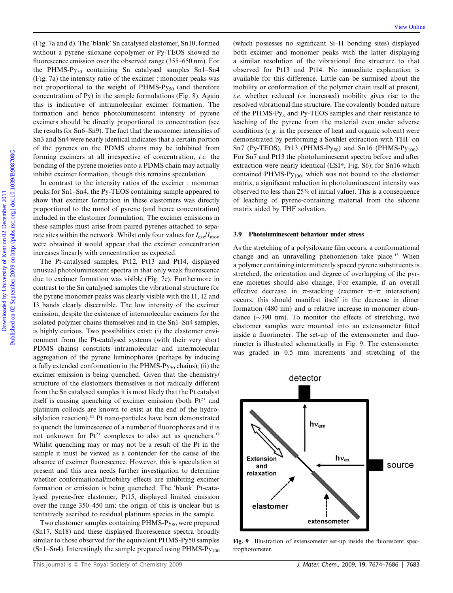(Fig. 7a and d). The 'blank' Sn catalysed elastomer, Sn10, formed without a pyrene–siloxane copolymer or Py-TEOS showed no fluorescence emission over the observed range (355–650 nm). For the PHMS-Py<sub>50</sub> containing Sn catalysed samples Sn1-Sn4 (Fig. 7a) the intensity ratio of the excimer : monomer peaks was not proportional to the weight of  $PHMS-Py_{50}$  (and therefore concentration of Py) in the sample formulations (Fig. 8). Again this is indicative of intramolecular excimer formation. The formation and hence photoluminescent intensity of pyrene excimers should be directly proportional to concentration (see the results for Sn6–Sn9). The fact that the monomer intensities of Sn3 and Sn4 were nearly identical indicates that a certain portion of the pyrenes on the PDMS chains may be inhibited from forming excimers at all irrespective of concentration, *i.e.* the bonding of the pyrene moieties onto a PDMS chain may actually inhibit excimer formation, though this remains speculation.

In contrast to the intensity ratios of the excimer : monomer peaks for Sn1–Sn4, the Py-TEOS containing sample appeared to show that excimer formation in these elastomers was directly proportional to the mmol of pyrene (and hence concentration) included in the elastomer formulation. The excimer emissions in these samples must arise from paired pyrenes attached to separate sites within the network. Whilst only four values for  $I_{\text{ex}}/I_{\text{mon}}$ were obtained it would appear that the excimer concentration increases linearly with concentration as expected.

The Pt-catalysed samples, Pt12, Pt13 and Pt14, displayed unusual photoluminescent spectra in that only weak fluorescence due to excimer formation was visible (Fig. 7c). Furthermore in contrast to the Sn catalysed samples the vibrational structure for the pyrene monomer peaks was clearly visible with the I1, I2 and I3 bands clearly discernible. The low intensity of the excimer emission, despite the existence of intermolecular excimers for the isolated polymer chains themselves and in the Sn1–Sn4 samples, is highly curious. Two possibilities exist: (i) the elastomer environment from the Pt-catalysed systems (with their very short PDMS chains) constricts intramolecular and intermolecular aggregation of the pyrene luminophores (perhaps by inducing a fully extended conformation in the  $PHMS-Py_{50}$  chains); (ii) the excimer emission is being quenched. Given that the chemistry/ structure of the elastomers themselves is not radically different from the Sn catalysed samples it is most likely that the Pt catalyst itself is causing quenching of excimer emission (both  $Pt^{2+}$  and platinum colloids are known to exist at the end of the hydrosilylation reaction).<sup>31</sup> Pt nano-particles have been demonstrated to quench the luminescence of a number of fluorophores and it is not unknown for  $Pt^{2+}$  complexes to also act as quenchers.<sup>32</sup> Whilst quenching may or may not be a result of the Pt in the sample it must be viewed as a contender for the cause of the absence of excimer fluorescence. However, this is speculation at present and this area needs further investigation to determine whether conformational/mobility effects are inhibiting excimer formation or emission is being quenched. The 'blank' Pt-catalysed pyrene-free elastomer, Pt15, displayed limited emission over the range 350–450 nm; the origin of this is unclear but is tentatively ascribed to residual platinum species in the sample.

Two elastomer samples containing PHMS-Py<sub>80</sub> were prepared (Sn17, Sn18) and these displayed fluorescence spectra broadly similar to those observed for the equivalent PHMS-Py50 samples  $(Sn1–Sn4)$ . Interestingly the sample prepared using PHMS-Py<sub>100</sub>

(which possesses no significant Si–H bonding sites) displayed both excimer and monomer peaks with the latter displaying a similar resolution of the vibrational fine structure to that observed for Pt13 and Pt14. No immediate explanation is available for this difference. Little can be surmised about the mobility or conformation of the polymer chain itself at present, *i.e.* whether reduced (or increased) mobility gives rise to the resolved vibrational fine structure. The covalently bonded nature of the PHMS-Py*<sup>x</sup>* and Py-TEOS samples and their resistance to leaching of the pyrene from the material even under adverse conditions (*e.g.* in the presence of heat and organic solvent) were demonstrated by performing a Soxhlet extraction with THF on Sn7 (Py-TEOS), Pt13 (PHMS-Py<sub>50</sub>) and Sn16 (PHMS-Py<sub>100</sub>). For Sn7 and Pt13 the photoluminescent spectra before and after extraction were nearly identical (ESI†, Fig. S6); for Sn16 which contained PHMS-Py100, which was not bound to the elastomer matrix, a significant reduction in photoluminescent intensity was observed (to less than 25% of initial value). This is a consequence of leaching of pyrene-containing material from the silicone matrix aided by THF solvation.

#### 3.9 Photoluminescent behaviour under stress

As the stretching of a polysiloxane film occurs, a conformational change and an unravelling phenomenon take place.<sup>33</sup> When a polymer containing intermittently spaced pyrene substituents is stretched, the orientation and degree of overlapping of the pyrene moieties should also change. For example, if an overall effective decrease in  $\pi$ -stacking (excimer  $\pi$ – $\pi$  interaction) occurs, this should manifest itself in the decrease in dimer formation (480 nm) and a relative increase in monomer abundance  $(\sim 390 \text{ nm})$ . To monitor the effects of stretching, two elastomer samples were mounted into an extensometer fitted inside a fluorimeter. The set-up of the extensometer and fluorimeter is illustrated schematically in Fig. 9. The extensometer was graded in 0.5 mm increments and stretching of the



Fig. 9 Illustration of extensometer set-up inside the fluorescent spectrophotometer.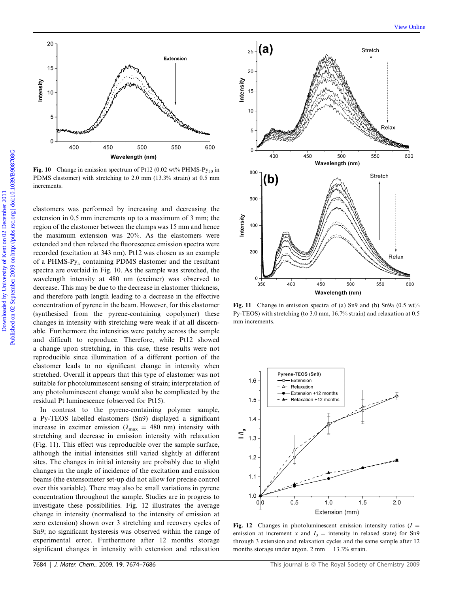

Fig. 10 Change in emission spectrum of Pt12 (0.02 wt% PHMS-Py<sub>50</sub> in PDMS elastomer) with stretching to 2.0 mm (13.3% strain) at 0.5 mm increments.

elastomers was performed by increasing and decreasing the extension in 0.5 mm increments up to a maximum of 3 mm; the region of the elastomer between the clamps was 15 mm and hence the maximum extension was 20%. As the elastomers were extended and then relaxed the fluorescence emission spectra were recorded (excitation at 343 nm). Pt12 was chosen as an example of a PHMS-Py*<sup>x</sup>* containing PDMS elastomer and the resultant spectra are overlaid in Fig. 10. As the sample was stretched, the wavelength intensity at 480 nm (excimer) was observed to decrease. This may be due to the decrease in elastomer thickness, and therefore path length leading to a decrease in the effective concentration of pyrene in the beam. However, for this elastomer (synthesised from the pyrene-containing copolymer) these changes in intensity with stretching were weak if at all discernable. Furthermore the intensities were patchy across the sample and difficult to reproduce. Therefore, while Pt12 showed a change upon stretching, in this case, these results were not reproducible since illumination of a different portion of the elastomer leads to no significant change in intensity when stretched. Overall it appears that this type of elastomer was not suitable for photoluminescent sensing of strain; interpretation of any photoluminescent change would also be complicated by the residual Pt luminescence (observed for Pt15).

In contrast to the pyrene-containing polymer sample, a Py-TEOS labelled elastomers (Sn9) displayed a significant increase in excimer emission ( $\lambda_{\text{max}}$  = 480 nm) intensity with stretching and decrease in emission intensity with relaxation (Fig. 11). This effect was reproducible over the sample surface, although the initial intensities still varied slightly at different sites. The changes in initial intensity are probably due to slight changes in the angle of incidence of the excitation and emission beams (the extensometer set-up did not allow for precise control over this variable). There may also be small variations in pyrene concentration throughout the sample. Studies are in progress to investigate these possibilities. Fig. 12 illustrates the average change in intensity (normalised to the intensity of emission at zero extension) shown over 3 stretching and recovery cycles of Sn9; no significant hysteresis was observed within the range of experimental error. Furthermore after 12 months storage significant changes in intensity with extension and relaxation



Fig. 11 Change in emission spectra of (a) Sn9 and (b) Sn9a (0.5 wt% Py-TEOS) with stretching (to 3.0 mm, 16.7% strain) and relaxation at 0.5 mm increments.



Fig. 12 Changes in photoluminescent emission intensity ratios  $(I =$ emission at increment *x* and  $I_0$  = intensity in relaxed state) for Sn9 through 3 extension and relaxation cycles and the same sample after 12 months storage under argon.  $2 \text{ mm} = 13.3\%$  strain.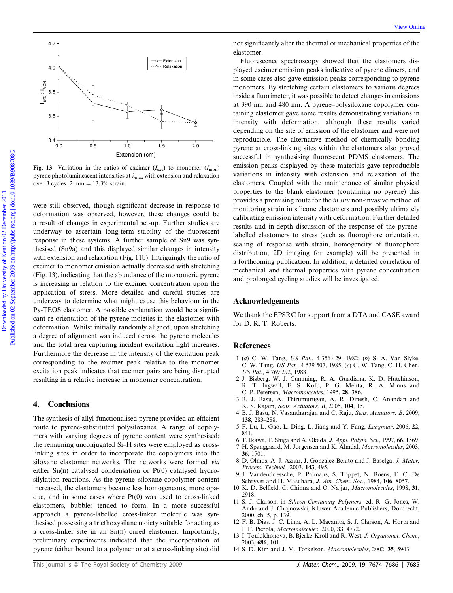

Fig. 13 Variation in the ratios of excimer  $(I_{\text{exc}})$  to monomer  $(I_{\text{mon}})$ pyrene photoluminescent intensities at  $\lambda_{\text{max}}$  with extension and relaxation over 3 cycles.  $2 \text{ mm} = 13.3\%$  strain.

were still observed, though significant decrease in response to deformation was observed, however, these changes could be a result of changes in experimental set-up. Further studies are underway to ascertain long-term stability of the fluorescent response in these systems. A further sample of Sn9 was synthesised (Sn9a) and this displayed similar changes in intensity with extension and relaxation (Fig. 11b). Intriguingly the ratio of excimer to monomer emission actually decreased with stretching (Fig. 13), indicating that the abundance of the monomeric pyrene is increasing in relation to the excimer concentration upon the application of stress. More detailed and careful studies are underway to determine what might cause this behaviour in the Py-TEOS elastomer. A possible explanation would be a significant re-orientation of the pyrene moieties in the elastomer with deformation. Whilst initially randomly aligned, upon stretching a degree of alignment was induced across the pyrene molecules and the total area capturing incident excitation light increases. Furthermore the decrease in the intensity of the excitation peak corresponding to the excimer peak relative to the monomer excitation peak indicates that excimer pairs are being disrupted resulting in a relative increase in monomer concentration.

#### 4. Conclusions

The synthesis of allyl-functionalised pyrene provided an efficient route to pyrene-substituted polysiloxanes. A range of copolymers with varying degrees of pyrene content were synthesised; the remaining unconjugated Si–H sites were employed as crosslinking sites in order to incorporate the copolymers into the siloxane elastomer networks. The networks were formed *via* either Sn(II) catalysed condensation or Pt(0) catalysed hydrosilylation reactions. As the pyrene–siloxane copolymer content increased, the elastomers became less homogeneous, more opaque, and in some cases where Pt(0) was used to cross-linked elastomers, bubbles tended to form. In a more successful approach a pyrene-labelled cross-linker molecule was synthesised possessing a triethoxysilane moiety suitable for acting as a cross-linker site in an Sn(II) cured elastomer. Importantly, preliminary experiments indicated that the incorporation of pyrene (either bound to a polymer or at a cross-linking site) did

not significantly alter the thermal or mechanical properties of the elastomer.

Fluorescence spectroscopy showed that the elastomers displayed excimer emission peaks indicative of pyrene dimers, and in some cases also gave emission peaks corresponding to pyrene monomers. By stretching certain elastomers to various degrees inside a fluorimeter, it was possible to detect changes in emissions at 390 nm and 480 nm. A pyrene–polysiloxane copolymer containing elastomer gave some results demonstrating variations in intensity with deformation, although these results varied depending on the site of emission of the elastomer and were not reproducible. The alternative method of chemically bonding pyrene at cross-linking sites within the elastomers also proved successful in synthesising fluorescent PDMS elastomers. The emission peaks displayed by these materials gave reproducible variations in intensity with extension and relaxation of the elastomers. Coupled with the maintenance of similar physical properties to the blank elastomer (containing no pyrene) this provides a promising route for the *in situ* non-invasive method of monitoring strain in silicone elastomers and possibly ultimately calibrating emission intensity with deformation. Further detailed results and in-depth discussion of the response of the pyrenelabelled elastomers to stress (such as fluorophore orientation, scaling of response with strain, homogeneity of fluorophore distribution, 2D imaging for example) will be presented in a forthcoming publication. In addition, a detailed correlation of mechanical and thermal properties with pyrene concentration and prolonged cycling studies will be investigated.

#### Acknowledgements

We thank the EPSRC for support from a DTA and CASE award for D. R. T. Roberts.

#### References

- 1 (*a*) C. W. Tang, *US Pat.*, 4 356 429, 1982; (*b*) S. A. Van Slyke, C. W. Tang, *US Pat.*, 4 539 507, 1985; (*c*) C. W. Tang, C. H. Chen, *US Pat.*, 4 769 292, 1988.
- 2 J. Bisberg, W. J. Cumming, R. A. Guadiana, K. D. Hutchinson, R. T. Ingwall, E. S. Kolb, P. G. Mehta, R. A. Minns and C. P. Petersen, *Macromolecules*, 1995, 28, 386.
- 3 B. J. Basu, A. Thirumurugan, A. R. Dinesh, C. Anandan and K. S. Rajam, *Sens. Actuators, B*, 2005, 104, 15.
- 4 B. J. Basu, N. Vasantharajan and C. Raju, *Sens. Actuators, B*, 2009, 138, 283–288.
- 5 F. Lu, L. Gao, L. Ding, L. Jiang and Y. Fang, *Langmuir*, 2006, 22, 841.
- 6 T. Ikawa, T. Shiga and A. Okada, *J. Appl. Polym. Sci.*, 1997, 66, 1569.
- 7 H. Spanggaard, M. Jorgensen and K. Almdal, *Macromolecules*, 2003, 36, 1701.
- 8 D. Olmos, A. J. Aznar, J. Gonzalez-Benito and J. Baselga, *J. Mater. Process. Technol.*, 2003, 143, 495.
- 9 J. Vandendriessche, P. Palmans, S. Toppet, N. Boens, F. C. De Schryver and H. Masuhara, *J. Am. Chem. Soc.*, 1984, 106, 8057.
- 10 K. D. Belfield, C. Chinna and O. Najjar, *Macromolecules*, 1998, 31, 2918.
- 11 S. J. Clarson, in *Silicon-Containing Polymers*, ed. R. G. Jones, W. Ando and J. Chojnowski, Kluwer Academic Publishers, Dordrecht, 2000, ch. 5, p. 139.
- 12 F. B. Dias, J. C. Lima, A. L. Macanita, S. J. Clarson, A. Horta and I. F. Pierola, *Macromolecules*, 2000, 33, 4772.
- 13 I. Toulokhonova, B. Bjerke-Kroll and R. West, *J. Organomet. Chem.*, 2003, 686, 101.
- 14 S. D. Kim and J. M. Torkelson, *Macromolecules*, 2002, 35, 5943.